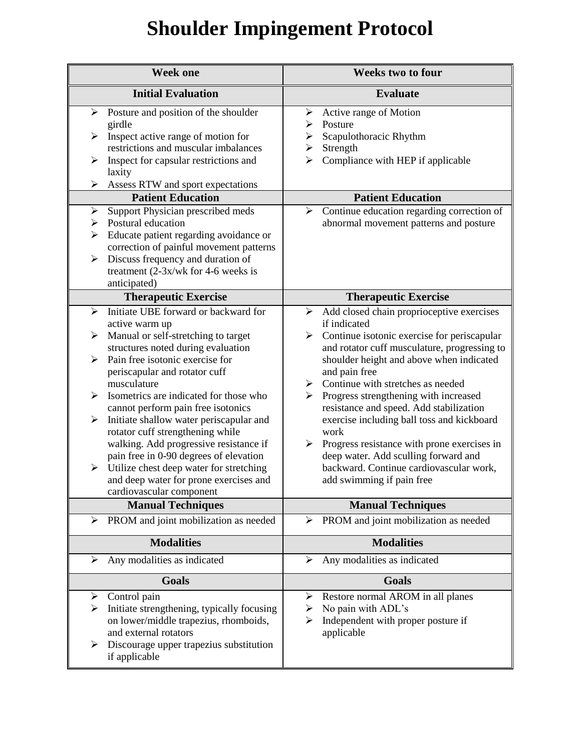## **Shoulder Impingement Protocol**

| <b>Week one</b>                                |                                                                                                                                                                                                                                                                                                                                                                                                                                                                                                                                                                                            | <b>Weeks two to four</b>                                                                                                                                                                                                                                                                                                                                                                                                                                                                                                                                                                                 |  |
|------------------------------------------------|--------------------------------------------------------------------------------------------------------------------------------------------------------------------------------------------------------------------------------------------------------------------------------------------------------------------------------------------------------------------------------------------------------------------------------------------------------------------------------------------------------------------------------------------------------------------------------------------|----------------------------------------------------------------------------------------------------------------------------------------------------------------------------------------------------------------------------------------------------------------------------------------------------------------------------------------------------------------------------------------------------------------------------------------------------------------------------------------------------------------------------------------------------------------------------------------------------------|--|
|                                                | <b>Initial Evaluation</b>                                                                                                                                                                                                                                                                                                                                                                                                                                                                                                                                                                  | <b>Evaluate</b>                                                                                                                                                                                                                                                                                                                                                                                                                                                                                                                                                                                          |  |
| ➤<br>➤<br>➤                                    | Posture and position of the shoulder<br>girdle<br>Inspect active range of motion for<br>restrictions and muscular imbalances<br>Inspect for capsular restrictions and<br>laxity                                                                                                                                                                                                                                                                                                                                                                                                            | Active range of Motion<br>➤<br>Posture<br>➤<br>Scapulothoracic Rhythm<br>➤<br>Strength<br>➤<br>Compliance with HEP if applicable<br>⋗                                                                                                                                                                                                                                                                                                                                                                                                                                                                    |  |
| ➤                                              | Assess RTW and sport expectations<br><b>Patient Education</b>                                                                                                                                                                                                                                                                                                                                                                                                                                                                                                                              |                                                                                                                                                                                                                                                                                                                                                                                                                                                                                                                                                                                                          |  |
| ➤<br>➤<br>➤<br>$\blacktriangleright$           | Support Physician prescribed meds<br>Postural education<br>Educate patient regarding avoidance or<br>correction of painful movement patterns<br>Discuss frequency and duration of<br>treatment $(2-3x/wk)$ for 4-6 weeks is<br>anticipated)                                                                                                                                                                                                                                                                                                                                                | <b>Patient Education</b><br>Continue education regarding correction of<br>➤<br>abnormal movement patterns and posture                                                                                                                                                                                                                                                                                                                                                                                                                                                                                    |  |
|                                                | <b>Therapeutic Exercise</b>                                                                                                                                                                                                                                                                                                                                                                                                                                                                                                                                                                | <b>Therapeutic Exercise</b>                                                                                                                                                                                                                                                                                                                                                                                                                                                                                                                                                                              |  |
| ➤<br>➤<br>≻<br>➤<br>➤<br>$\blacktriangleright$ | Initiate UBE forward or backward for<br>active warm up<br>Manual or self-stretching to target<br>structures noted during evaluation<br>Pain free isotonic exercise for<br>periscapular and rotator cuff<br>musculature<br>Isometrics are indicated for those who<br>cannot perform pain free isotonics<br>Initiate shallow water periscapular and<br>rotator cuff strengthening while<br>walking. Add progressive resistance if<br>pain free in 0-90 degrees of elevation<br>Utilize chest deep water for stretching<br>and deep water for prone exercises and<br>cardiovascular component | Add closed chain proprioceptive exercises<br>➤<br>if indicated<br>Continue isotonic exercise for periscapular<br>➤<br>and rotator cuff musculature, progressing to<br>shoulder height and above when indicated<br>and pain free<br>$\triangleright$ Continue with stretches as needed<br>Progress strengthening with increased<br>≻<br>resistance and speed. Add stabilization<br>exercise including ball toss and kickboard<br>work<br>Progress resistance with prone exercises in<br>➤<br>deep water. Add sculling forward and<br>backward. Continue cardiovascular work,<br>add swimming if pain free |  |
|                                                | <b>Manual Techniques</b>                                                                                                                                                                                                                                                                                                                                                                                                                                                                                                                                                                   | <b>Manual Techniques</b>                                                                                                                                                                                                                                                                                                                                                                                                                                                                                                                                                                                 |  |
| ➤                                              | PROM and joint mobilization as needed                                                                                                                                                                                                                                                                                                                                                                                                                                                                                                                                                      | PROM and joint mobilization as needed<br>➤                                                                                                                                                                                                                                                                                                                                                                                                                                                                                                                                                               |  |
|                                                | <b>Modalities</b>                                                                                                                                                                                                                                                                                                                                                                                                                                                                                                                                                                          | <b>Modalities</b>                                                                                                                                                                                                                                                                                                                                                                                                                                                                                                                                                                                        |  |
| $\blacktriangleright$                          | Any modalities as indicated                                                                                                                                                                                                                                                                                                                                                                                                                                                                                                                                                                | Any modalities as indicated<br>➤                                                                                                                                                                                                                                                                                                                                                                                                                                                                                                                                                                         |  |
|                                                | <b>Goals</b>                                                                                                                                                                                                                                                                                                                                                                                                                                                                                                                                                                               | <b>Goals</b>                                                                                                                                                                                                                                                                                                                                                                                                                                                                                                                                                                                             |  |
| ➤<br>➤<br>➤                                    | Control pain<br>Initiate strengthening, typically focusing<br>on lower/middle trapezius, rhomboids,<br>and external rotators<br>Discourage upper trapezius substitution                                                                                                                                                                                                                                                                                                                                                                                                                    | Restore normal AROM in all planes<br>➤<br>No pain with ADL's<br>➤<br>Independent with proper posture if<br>➤<br>applicable                                                                                                                                                                                                                                                                                                                                                                                                                                                                               |  |
|                                                | if applicable                                                                                                                                                                                                                                                                                                                                                                                                                                                                                                                                                                              |                                                                                                                                                                                                                                                                                                                                                                                                                                                                                                                                                                                                          |  |